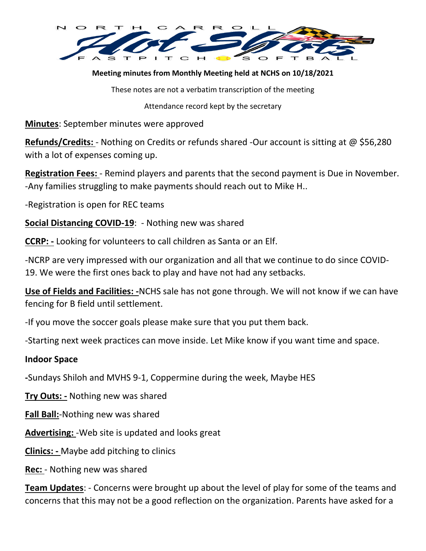

### **Meeting minutes from Monthly Meeting held at NCHS on 10/18/2021**

These notes are not a verbatim transcription of the meeting

Attendance record kept by the secretary

**Minutes**: September minutes were approved

**Refunds/Credits:** - Nothing on Credits or refunds shared -Our account is sitting at @ \$56,280 with a lot of expenses coming up.

**Registration Fees:** - Remind players and parents that the second payment is Due in November. -Any families struggling to make payments should reach out to Mike H..

-Registration is open for REC teams

**Social Distancing COVID-19**: - Nothing new was shared

**CCRP: -** Looking for volunteers to call children as Santa or an Elf.

-NCRP are very impressed with our organization and all that we continue to do since COVID-19. We were the first ones back to play and have not had any setbacks.

**Use of Fields and Facilities: -**NCHS sale has not gone through. We will not know if we can have fencing for B field until settlement.

-If you move the soccer goals please make sure that you put them back.

-Starting next week practices can move inside. Let Mike know if you want time and space.

#### **Indoor Space**

**-**Sundays Shiloh and MVHS 9-1, Coppermine during the week, Maybe HES

**Try Outs: -** Nothing new was shared

**Fall Ball:**-Nothing new was shared

**Advertising:** -Web site is updated and looks great

**Clinics: -** Maybe add pitching to clinics

**Rec:** - Nothing new was shared

**Team Updates**: - Concerns were brought up about the level of play for some of the teams and concerns that this may not be a good reflection on the organization. Parents have asked for a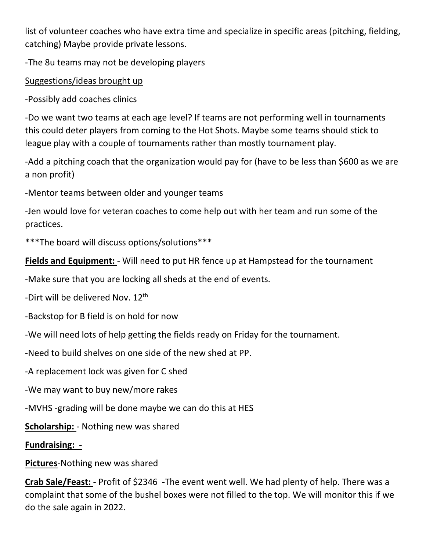list of volunteer coaches who have extra time and specialize in specific areas (pitching, fielding, catching) Maybe provide private lessons.

-The 8u teams may not be developing players

Suggestions/ideas brought up

-Possibly add coaches clinics

-Do we want two teams at each age level? If teams are not performing well in tournaments this could deter players from coming to the Hot Shots. Maybe some teams should stick to league play with a couple of tournaments rather than mostly tournament play.

-Add a pitching coach that the organization would pay for (have to be less than \$600 as we are a non profit)

-Mentor teams between older and younger teams

-Jen would love for veteran coaches to come help out with her team and run some of the practices.

\*\*\*The board will discuss options/solutions\*\*\*

**Fields and Equipment:** - Will need to put HR fence up at Hampstead for the tournament

-Make sure that you are locking all sheds at the end of events.

-Dirt will be delivered Nov. 12<sup>th</sup>

-Backstop for B field is on hold for now

-We will need lots of help getting the fields ready on Friday for the tournament.

-Need to build shelves on one side of the new shed at PP.

-A replacement lock was given for C shed

-We may want to buy new/more rakes

-MVHS -grading will be done maybe we can do this at HES

**Scholarship:** - Nothing new was shared

## **Fundraising: -**

# **Pictures**-Nothing new was shared

**Crab Sale/Feast:** - Profit of \$2346 -The event went well. We had plenty of help. There was a complaint that some of the bushel boxes were not filled to the top. We will monitor this if we do the sale again in 2022.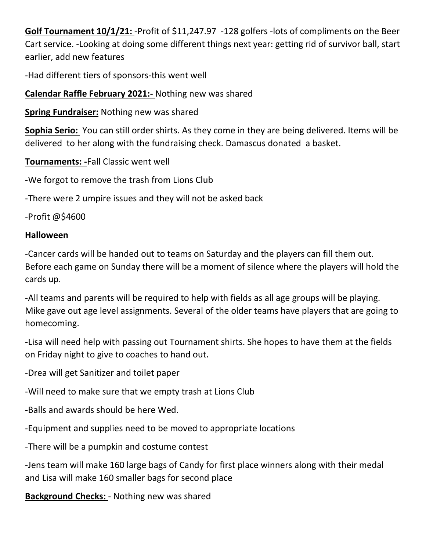**Golf Tournament 10/1/21:** -Profit of \$11,247.97 -128 golfers -lots of compliments on the Beer Cart service. -Looking at doing some different things next year: getting rid of survivor ball, start earlier, add new features

-Had different tiers of sponsors-this went well

**Calendar Raffle February 2021:-** Nothing new was shared

**Spring Fundraiser:** Nothing new was shared

**Sophia Serio:** You can still order shirts. As they come in they are being delivered. Items will be delivered to her along with the fundraising check. Damascus donated a basket.

**Tournaments: -**Fall Classic went well

-We forgot to remove the trash from Lions Club

-There were 2 umpire issues and they will not be asked back

-Profit @\$4600

## **Halloween**

-Cancer cards will be handed out to teams on Saturday and the players can fill them out. Before each game on Sunday there will be a moment of silence where the players will hold the cards up.

-All teams and parents will be required to help with fields as all age groups will be playing. Mike gave out age level assignments. Several of the older teams have players that are going to homecoming.

-Lisa will need help with passing out Tournament shirts. She hopes to have them at the fields on Friday night to give to coaches to hand out.

-Drea will get Sanitizer and toilet paper

-Will need to make sure that we empty trash at Lions Club

-Balls and awards should be here Wed.

-Equipment and supplies need to be moved to appropriate locations

-There will be a pumpkin and costume contest

-Jens team will make 160 large bags of Candy for first place winners along with their medal and Lisa will make 160 smaller bags for second place

**Background Checks:** - Nothing new was shared